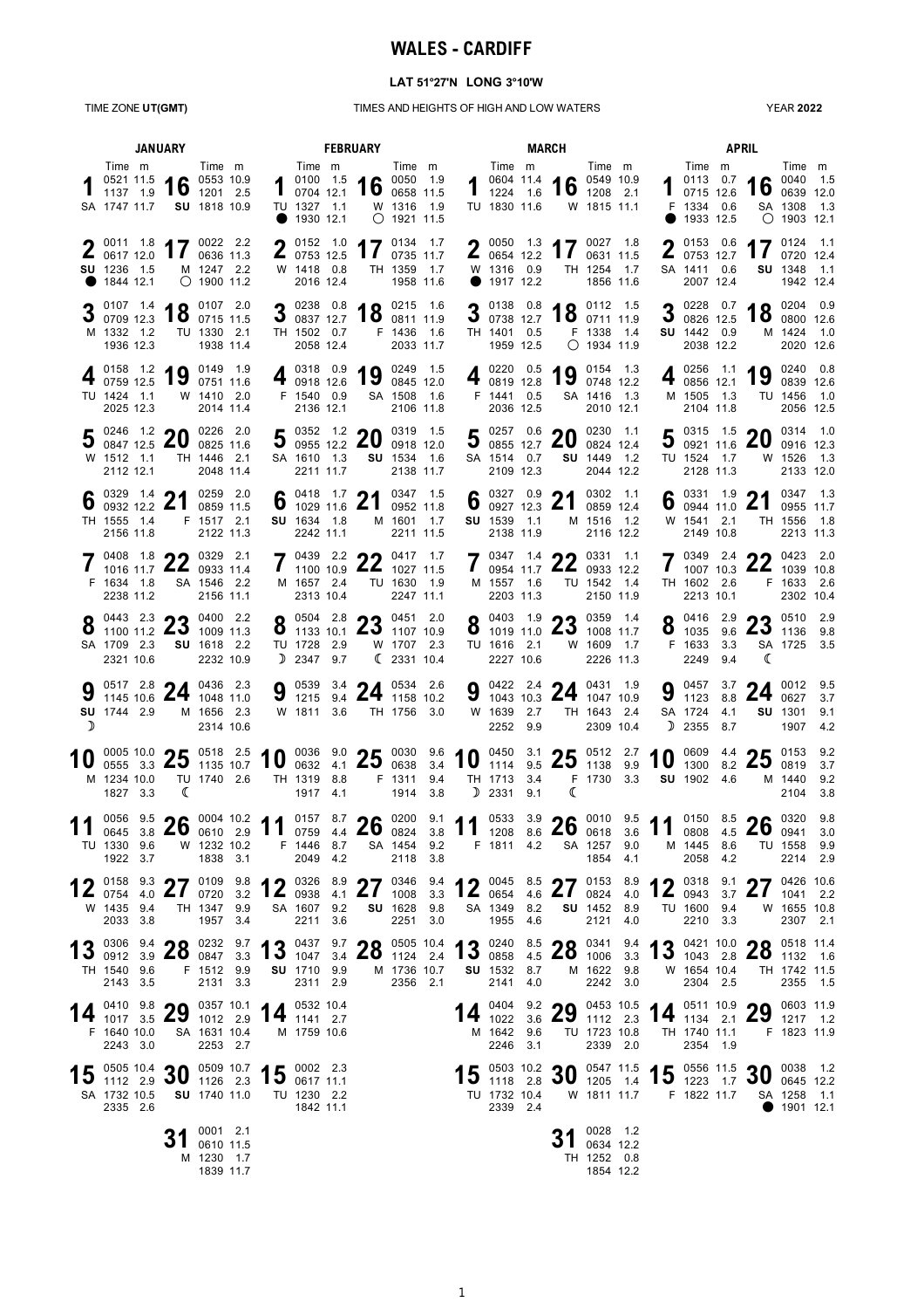# **WALES - CARDIFF**

### **LAT 51°27'N LONG 3°10'W**

#### TIME ZONE **UT(GMT)** TIMES AND HEIGHTS OF HIGH AND LOW WATERS

YEAR **2022**

| <b>JANUARY</b> |                                                                                                                                                                                                                                                                                                                             |   |                                                  |  | <b>MARCH</b><br><b>FEBRUARY</b>                                         |  |                                                                                                             |                             |        |              |                                                             |  |                                                                                                           | <b>APRIL</b>                                              |              |                                                               |     |                                                                                                                       |                                                   |                   |
|----------------|-----------------------------------------------------------------------------------------------------------------------------------------------------------------------------------------------------------------------------------------------------------------------------------------------------------------------------|---|--------------------------------------------------|--|-------------------------------------------------------------------------|--|-------------------------------------------------------------------------------------------------------------|-----------------------------|--------|--------------|-------------------------------------------------------------|--|-----------------------------------------------------------------------------------------------------------|-----------------------------------------------------------|--------------|---------------------------------------------------------------|-----|-----------------------------------------------------------------------------------------------------------------------|---------------------------------------------------|-------------------|
|                | Time m<br>0521 11.5 16 0553 10.9<br>1137 1.9 16 1201 2.5<br>SA 1747 11.7 SU 1818 10.9                                                                                                                                                                                                                                       |   | Time m                                           |  | Time m<br>$10100$ 1.5<br>0704 12.1<br>TU 1327 1.1<br>● 1930 12.1        |  | 16 $^{0050}$ 1.9                                                                                            | W 1316 1.9<br>$O$ 1921 11.5 | Time m |              | Time m<br>TU 1830 11.6                                      |  | 1 $\frac{0604}{1224}$ 11.4 16 $\frac{0549}{1208}$ 10.9                                                    | Time m<br>W 1815 11.1                                     |              | Time m<br>F 1334 0.6<br>1933 12.5                             |     | 1 $^{0113}$ 0.7 16 $^{0040}$ 1.5 0715 12.6 16 0639 12.0                                                               | Time m<br>SA 1308 1.3<br>$\bigcirc$ 1903 12.1     |                   |
|                | 2 0011 1.8 17 0022 2.2<br><b>SU</b> 1236 1.5<br>● 1844 12.1                                                                                                                                                                                                                                                                 |   | M 1247 2.2<br>$O$ 1900 11.2                      |  | $\bullet$ 0152 1.0<br>$\frac{2}{10753}$ 12.5<br>W 1418 0.8<br>2016 12.4 |  | 17 $^{0134}$ $^{1.7}$                                                                                       | TH 1359 1.7<br>1958 11.6    |        |              | $\frac{2}{10654}$ 12.2<br>W 1316 0.9<br>$\bullet$ 1917 12.2 |  | 2 $\frac{0050}{0654}$ 1.3 17 $\frac{0027}{0631}$ 1.8                                                      | TH 1254 1.7<br>1856 11.6                                  |              | 2015306<br>$\frac{2}{10753}$ 12.7<br>SA 1411 0.6<br>2007 12.4 |     | 17 $^{0124}$ 1.1                                                                                                      | SU 1348 1.1<br>1942 12.4                          |                   |
|                | <b>0</b> 0107 1.4 4 0 0107 2.0<br>$\bullet$ 0709 12.3 $\bullet$ 0715 11.5<br>M 1332 1.2<br>1936 12.3                                                                                                                                                                                                                        |   | TU 1330 2.1<br>1938 11.4                         |  | $\bullet$ 0238 0.8<br>$3$ 0837 12.7<br>TH 1502 0.7<br>2058 12.4         |  | 4 0 0215 1.6<br>$10$ 0811 11.9                                                                              | F 1436 1.6<br>2033 11.7     |        |              | TH 1401 0.5<br>1959 12.5                                    |  | <b>2</b> 0138 0.8 4 <b>0</b> 0112 1.5<br>$\frac{3}{2}$ 0738 12.7 <b>10</b> 0711 11.9                      | F 1338 1.4<br>$O$ 1934 11.9                               |              | 30082612.5<br>SU 1442 0.9<br>2038 12.2                        |     | $2^{0228}$ 0.7 $40^{0204}$ 0.9                                                                                        | $10$ 0800 12.6<br>M 1424 1.0<br>2020 12.6         |                   |
|                | 4 0158 1.2 19 0149 1.9<br>TU 1424 1.1<br>2025 12.3                                                                                                                                                                                                                                                                          |   | W 1410 2.0<br>2014 11.4                          |  | $4$ 0918 12.6<br>F 1540 0.9<br>2136 12.1                                |  | $\frac{1}{2}$ $\frac{0318}{0918}$ $\frac{0.9}{12.6}$ $\frac{1}{9}$ $\frac{0249}{0845}$ $\frac{1.5}{12.0}$   | SA 1508 1.6<br>2106 11.8    |        |              | 4 0819 12.8<br>F 1441 0.5<br>2036 12.5                      |  | $\frac{0.220}{0.819}$ 12.8 19 $\frac{0.154}{0.748}$ 12.2                                                  | SA 1416 1.3<br>2010 12.1                                  | 4            | M 1505 1.3<br>2104 11.8                                       |     | $\begin{array}{ c c c c c }\n\hline\n0.256 & 1.1 & 19 & 0.240 & 0.8 \\ 0.856 & 12.1 & 19 & 0.839 & 12.6\n\end{array}$ | TU 1456 1.0<br>2056 12.5                          |                   |
|                | 5 0246 1.2 20 0226 2.0<br>W 1512 1.1<br>2112 12.1                                                                                                                                                                                                                                                                           |   | TH 1446 2.1<br>2048 11.4                         |  | SA 1610 1.3<br>2211 11.7                                                |  | 5 0352 1.2 20 0319 1.5<br>5 0955 12.2 20 0918 12.0                                                          | SU 1534 1.6<br>2138 11.7    |        |              | SA 1514 0.7<br>2109 12.3                                    |  | 5 $^{0257}$ $^{0.6}$ 20 $^{0230}$ $^{1.1}$                                                                | 0824 12.4<br>SU 1449 1.2<br>2044 12.2                     |              | TU 1524 1.7<br>2128 11.3                                      |     | 5 0315 1.5 20 0314 1.0                                                                                                | W 1526 1.3<br>2133 12.0                           |                   |
|                | 6 0329 1.4 21 0259 2.0<br>TH 1555 1.4<br>2156 11.8                                                                                                                                                                                                                                                                          |   | F 1517 2.1<br>2122 11.3                          |  | SU 1634 1.8<br>2242 11.1                                                |  | 6 $^{0418}$ 1.7 21 $^{0347}$ 1.5 1029 11.6 21 0952 11.8                                                     | M 1601 1.7<br>2211 11.5     |        |              | SU 1539 1.1<br>2138 11.9                                    |  | 6 $_{0927}^{0327}$ $_{12.3}^{0.9}$ 21                                                                     | 0302 1.1<br>0859 12.4<br>M 1516 1.2<br>2116 12.2          |              | W 1541 2.1<br>2149 10.8                                       |     | 6 $_{0944}^{0331}$ 1.9 21                                                                                             | 0347 1.3<br>0955 11.7<br>TH 1556 1.8<br>2213 11.3 |                   |
|                | 7 0408 1.8 22 0329 2.1<br>F 1634 1.8<br>2238 11.2                                                                                                                                                                                                                                                                           |   | SA 1546 2.2<br>2156 11.1                         |  | M 1657 2.4<br>2313 10.4                                                 |  | $70439$ 2.2 00 0417 1.7<br>1 1100 10.9 $\angle$ 1027 11.5                                                   | TU 1630 1.9<br>2247 11.1    |        | $\mathbf{I}$ | M 1557 1.6<br>2203 11.3                                     |  | $70347$ 1.4 00 0331 1.1<br>0954 11.7 $\angle$ 0933 12.2                                                   | TU 1542 1.4<br>2150 11.9                                  | $\mathbf{I}$ | TH 1602 2.6<br>2213 10.1                                      |     | $70349$ 2.4 00 0423 2.0<br>1007 10.3 $\angle$ 1039 10.8                                                               | F 1633 2.6<br>2302 10.4                           |                   |
|                | $0$ 0443 2.3 $\bullet$ 0400 2.2<br><b>O</b> 1100 11.2 $\angle 3$ 1009 11.3<br>SA 1709 2.3<br>2321 10.6                                                                                                                                                                                                                      |   | SU 1618 2.2<br>2232 10.9                         |  | TU 1728 2.9<br>$D$ 2347 9.7                                             |  | $0$ 0504 2.8 $\bullet$ 0451 2.0<br><b>O</b> 1133 10.1 $\angle 3$ 1107 10.9                                  | W 1707 2.3<br>(233110.4)    |        |              | TU 1616 2.1<br>2227 10.6                                    |  | $Q$ 0403 1.9 $Q$ 0359 1.4<br><b>O</b> 1019 11.0 $\angle 3$ 1008 11.7                                      | W 1609 1.7<br>2226 11.3                                   |              | $Q$ 0416 2.9<br>$0\quad 1035\quad 9.6$<br>F 1633 3.3<br>2249  | 9.4 | <b>22</b> 0510 2.9<br>$25$ 1136 9.8<br>ℂ                                                                              | SA 1725 3.5                                       |                   |
| ∋              | 9 $\frac{0517}{1145}$ 10.6 24 $\frac{0436}{1048}$ 11.0<br><b>SU</b> 1744 2.9                                                                                                                                                                                                                                                |   | M 1656 2.3<br>2314 10.6                          |  |                                                                         |  | 9 $\frac{0539}{1215}$ $\frac{3.4}{9.4}$ 24 $\frac{0534}{1158}$ $\frac{2.6}{10.2}$<br>W 1811 3.6 TH 1756 3.0 |                             |        |              | W 1639 2.7<br>2252 9.9                                      |  | 9 $\frac{0422}{1043}$ $\frac{2.4}{10.3}$ 24 $\frac{0431}{1047}$ $\frac{1.9}{10.9}$                        | TH 1643 2.4<br>2309 10.4                                  |              | SA 1724 4.1<br><b>1</b> 2355                                  | 8.7 | 9 0457 3.7 24 0012 9.5                                                                                                | <b>SU</b> 1301<br>1907                            | 9.1<br>4.2        |
| 10             | 0005 10.0 <b>25</b> 0518 2.5 <b>10</b> 0036 9.0 <b>25</b> 0030 9.6 <b>10</b> 0450 3.1 <b>25</b> 0512 2.7 <b>10</b> 0609 4.4 <b>25</b> 0153 0555 3.3 <b>25</b> 0153 0819<br>0005 10.0 $\bullet$ 518 2.5<br>M 1234 10.0 TU 1740 2.6<br>1827 3.3                                                                               | ℂ |                                                  |  | TH 1319 8.8<br>1917 4.1                                                 |  | F 1311 9.4                                                                                                  | 1914 3.8                    |        |              | D 2331 9.1                                                  |  | TH 1713 3.4 F 1730 3.3<br>ℂ                                                                               |                                                           |              | SU 1902 4.6                                                   |     |                                                                                                                       | M 1440 9.2<br>2104                                | 9.2<br>3.7<br>3.8 |
| 11             | 0056 9.5 <b>26</b> 0004 10.2 <b>11</b> 0759 4.4 <b>26</b> 0824 3.8 <b>11</b> 0533 3.9 <b>26</b> 0010 9.5 <b>11</b> 0808 4.5 <b>26</b> 0320 9.8<br>TU 1330 9.6<br>1922 3.7                                                                                                                                                   |   | W 1232 10.2<br>1838 3.1                          |  | F 1446 8.7<br>2049 4.2                                                  |  |                                                                                                             | SA 1454 9.2<br>2118 3.8     |        |              | F 1811 4.2                                                  |  |                                                                                                           | SA 1257 9.0<br>1854 4.1                                   |              | M 1445 8.6<br>2058 4.2                                        |     |                                                                                                                       | TU 1558 9.9<br>2214 2.9                           |                   |
|                | 12 $\frac{0158}{0754}$ $\frac{9.3}{4.0}$ 27 $\frac{0109}{0720}$ $\frac{9.8}{3.2}$ 12 $\frac{0326}{0938}$ $\frac{8.9}{4.1}$ 27 $\frac{0346}{1008}$ $\frac{9.4}{3.3}$ 12 $\frac{0045}{0654}$ $\frac{8.5}{4.6}$ 27 $\frac{0153}{0824}$ $\frac{8.9}{4.0}$ 12 $\frac{0318}{0943}$ $\frac{$<br>W 1435 9.4 TH 1347 9.9<br>2033 3.8 |   | 1957 3.4                                         |  | 2211 3.6                                                                |  | SA 1607 9.2 SU 1628 9.8                                                                                     | 2251 3.0                    |        |              | 1955 4.6                                                    |  | SA 1349 8.2 <b>SU</b> 1452 8.9                                                                            | 2121 4.0                                                  |              | TU 1600 9.4<br>2210 3.3                                       |     | W 1655 10.8                                                                                                           | 2307 2.1                                          |                   |
|                | 13 0306 9.4 28 0332 9.7 13 0437 9.7 28 0505 10.4 13 0240 8.5 28 0341 9.4 13 0421 10.0 28 0518 11.4<br>TH 1540 9.6 F 1512 9.9 SU 1710 9.9 M 1736 10.7 SU 1532 8.7 M 1622 9.8 W 1654 10.4 TH 1742 11.5<br>2143 3.5                                                                                                            |   | 2131 3.3                                         |  | 2311 2.9                                                                |  |                                                                                                             | 2356 2.1                    |        |              | 2141 4.0                                                    |  |                                                                                                           | 2242 3.0                                                  |              | 2304 2.5                                                      |     |                                                                                                                       | 2355 1.5                                          |                   |
|                | 14 $^{0410}$ $^{9.8}_{3.5}$ 29 $^{0357}$ $^{10.1}_{1012}$ 2.9 14 $^{0532}$ $^{10.4}_{2.7}$<br>F 1640 10.0<br>2243 3.0                                                                                                                                                                                                       |   | SA 1631 10.4<br>2253 2.7                         |  | M 1759 10.6                                                             |  | $\begin{array}{rr}\n 0532 & 10.4 \\  1441 & 2.7\n \end{array}$                                              |                             |        |              | M 1642 9.6<br>2246 3.1                                      |  | 14 $^{0404}$ $^{9.2}$ 3.6 29 $^{0453}$ 10.5 14 $^{0511}$ 10.9 29 $^{0603}$ 11.9                           | TU 1723 10.8<br>2339 2.0                                  |              | TH 1740 11.1<br>2354 1.9                                      |     | F 1823 11.9                                                                                                           |                                                   |                   |
|                | 15 $_{0.112}^{0.505}$ 10.4 30 $_{0.126}^{0.509}$ 10.7 15 $_{0.617}^{0.002}$ 2.3<br>SA 1732 10.5 SU 1740 11.0 TU 1230 2.2<br>2335 2.6                                                                                                                                                                                        |   |                                                  |  | 1842 11.1                                                               |  |                                                                                                             |                             |        |              | 2339 2.4                                                    |  | 15 0503 10.2 30 0547 11.5 15 0556 11.5 30 0038 1.2<br>TU 1732 10.4  W 1811 11.7  F 1822 11.7  SA 1258 1.1 |                                                           |              |                                                               |     |                                                                                                                       | $\bullet$ 1901 12.1                               |                   |
|                |                                                                                                                                                                                                                                                                                                                             |   | 0001 2.1<br>0610 11.5<br>M 1230 1.7<br>1839 11.7 |  |                                                                         |  |                                                                                                             |                             |        |              |                                                             |  |                                                                                                           | 24 0028 1.2<br>$31$ 0634 12.2<br>TH 1252 0.8<br>1854 12.2 |              |                                                               |     |                                                                                                                       |                                                   |                   |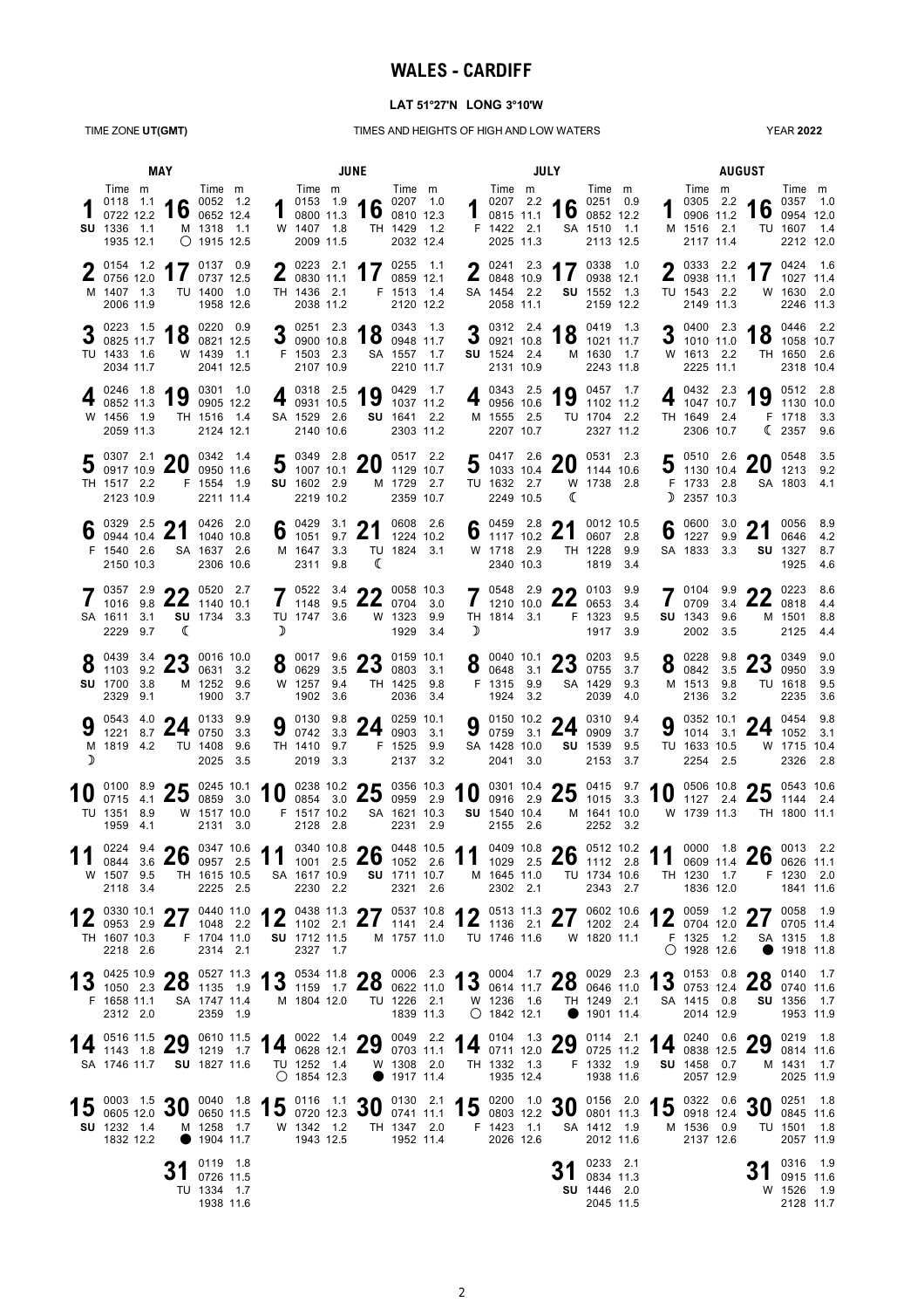## **WALES - CARDIFF**

#### **LAT 51°27'N LONG 3°10'W**

TIME ZONE **UT(GMT)** TIMES AND HEIGHTS OF HIGH AND LOW WATERS

YEAR **2022**

|        | MAY                                                                                                                                                                                                                                                                                             |  |                                                          |                                                           |  |                   |                                                       | <b>JUNE</b>                                                                                                               |                                                   |                         |                                                    | JULY |                                                                             |                                                             |     |   |                                                            |            | <b>AUGUST</b>                                                                                                            |                                                  |                    |
|--------|-------------------------------------------------------------------------------------------------------------------------------------------------------------------------------------------------------------------------------------------------------------------------------------------------|--|----------------------------------------------------------|-----------------------------------------------------------|--|-------------------|-------------------------------------------------------|---------------------------------------------------------------------------------------------------------------------------|---------------------------------------------------|-------------------------|----------------------------------------------------|------|-----------------------------------------------------------------------------|-------------------------------------------------------------|-----|---|------------------------------------------------------------|------------|--------------------------------------------------------------------------------------------------------------------------|--------------------------------------------------|--------------------|
|        | Time m<br><b>SU</b> 1336 1.1<br>1935 12.1                                                                                                                                                                                                                                                       |  | $^{0118}$ 1.1 16 $^{0052}$ 1.2<br>0722 12.2 16 0652 12.4 | Time m<br>M 1318 1.1<br>$O$ 1915 12.5                     |  |                   | Time m<br>W 1407 1.8<br>2009 11.5                     | 1 $\frac{0153}{0800}$ 1.9 16 $\frac{0207}{0810}$ 1.0                                                                      | Time m<br>TH 1429 1.2<br>2032 12.4                |                         | Time m<br>F 1422 2.1<br>2025 11.3                  |      | $\frac{0207}{0815}$ $\frac{2.2}{11.1}$ 16 $\frac{0251}{0852}$ 12.2          | Time m<br>SA 1510 1.1<br>2113 12.5                          |     |   | Time m<br>0305 2.2<br>0906 11.2<br>M 1516 2.1<br>2117 11.4 |            | 16 $^{0357}$ 1.0                                                                                                         | Time m<br>TU 1607 1.4<br>2212 12.0               |                    |
|        | $\frac{0154}{0756}$ 1.2 17 $\frac{0137}{0737}$ 12.5<br>M 1407 1.3<br>2006 11.9                                                                                                                                                                                                                  |  |                                                          | TU 1400 1.0<br>1958 12.6                                  |  |                   | $\frac{2}{11.1}$<br>TH 1436 2.1<br>2038 11.2          | 2 $^{0223}$ $^{2.1}$ 17 $^{0255}$ $^{1.1}$                                                                                | 0859 12.1<br>F 1513 1.4<br>2120 12.2              |                         | $\frac{2}{10848}$ 10.9<br>SA 1454 2.2<br>2058 11.1 |      | 2 $^{0241}$ $^{2.3}$ 17 $^{0338}$ $^{1.0}$                                  | 0938 12.1<br>SU 1552 1.3<br>2159 12.2                       |     |   | $\frac{2}{11.1}$<br>TU 1543 2.2<br>2149 11.3               |            | 2 $^{0333}$ 2.2 17 $^{0424}$ 1.6                                                                                         | 1027 11.4<br>W 1630 2.0<br>2246 11.3             |                    |
|        | $\frac{0223}{0825}$ 1.5 <b>18</b> $\frac{0220}{0821}$ 12.5<br>TU 1433 1.6<br>2034 11.7                                                                                                                                                                                                          |  |                                                          | W 1439 1.1<br>2041 12.5                                   |  |                   | F 1503 2.3<br>2107 10.9                               | 3 0251 2.3 18 0343 1.3                                                                                                    | SA 1557 1.7<br>2210 11.7                          |                         | SU 1524 2.4<br>2131 10.9                           |      | 3 $^{0312}$ $^{2.4}$ 18 $^{0419}$ $^{1.3}$ $^{0921}$ 10.8 18 $^{1021}$ 11.7 | M 1630 1.7<br>2243 11.8                                     |     |   | W 1613 2.2<br>2225 11.1                                    |            | $\frac{0400}{1010}$ $\frac{2.3}{1.0}$ 18 $\frac{0446}{1058}$ $\frac{2.2}{10.7}$                                          | TH 1650 2.6<br>2318 10.4                         |                    |
|        | 0246 1.8<br>0852 11.3<br>W 1456 1.9<br>2059 11.3                                                                                                                                                                                                                                                |  | 19                                                       | 0301 1.0<br>0905 12.2<br>TH 1516 1.4<br>2124 12.1         |  |                   | 0318 2.5<br>$4$ 0931 10.5<br>SA 1529 2.6<br>2140 10.6 | 19                                                                                                                        | 0429 1.7<br>1037 11.2<br>SU 1641 2.2<br>2303 11.2 | $\overline{\mathbf{r}}$ | 0956 10.6<br>M 1555 2.5<br>2207 10.7               |      | $\frac{0343}{0956}$ $\frac{2.5}{10.6}$ 19 $\frac{0457}{1102}$ 11.2          | TU 1704 2.2<br>2327 11.2                                    |     | 4 | 0432 2.3<br>1047 10.7<br>TH 1649 2.4<br>2306 10.7          |            | $13$ 1130 10.0                                                                                                           | 10 $0512$ 2.8<br>F 1718 3.3<br>(23579.6          |                    |
|        | $50307$ $2.1$ 20<br>TH 1517 2.2<br>2123 10.9                                                                                                                                                                                                                                                    |  |                                                          | 0342 1.4<br>0950 11.6<br>F 1554 1.9<br>2211 11.4          |  |                   | SU 1602 2.9<br>2219 10.2                              | 5 $^{0349}$ $^{2.8}$ 20 $^{0517}$ $^{2.2}$<br>5 $^{1007}$ 10.1 20 $^{1129}$ 10.7                                          | M 1729 2.7<br>2359 10.7                           |                         | TU 1632 2.7<br>2249 10.5                           |      | 5 $^{0417}$ 2.6 20 $^{0531}$ 2.3<br>1033 10.4 20 1144 10.6<br>ℂ             | W 1738 2.8                                                  |     |   | F 1733 2.8<br>$D$ 2357 10.3                                |            | 5 $\frac{0510}{1130}$ 10.4 20 $\frac{0548}{1213}$ 9.2                                                                    | SA 1803 4.1                                      |                    |
|        | $\frac{0329}{0944}$ 10.4 21<br>F 1540 2.6<br>2150 10.3                                                                                                                                                                                                                                          |  |                                                          | 0426 2.0<br>1040 10.8<br>SA 1637 2.6<br>2306 10.6         |  |                   | 6 $^{0429}$ 3.1 21<br>M 1647 3.3<br>2311 9.8          | ℂ                                                                                                                         | 0608 2.6<br>1224 10.2<br>TU 1824 3.1              |                         | W 1718 2.9<br>2340 10.3                            |      | 6 0459 2.8 21 0012 10.5                                                     | TH 1228 9.9<br>1819 3.4                                     |     | 6 | 0600<br>1227<br>SA 1833 3.3                                | 3.0<br>9.9 | 21                                                                                                                       | 0056 8.9<br>0646<br><b>SU</b> 1327<br>1925       | 4.2<br>8.7<br>-4.6 |
|        | 0357 2.9 $\bullet$ 0520 2.7<br>SA 1611 3.1<br>2229 9.7                                                                                                                                                                                                                                          |  | 1016 9.8 $\angle$ 1140 10.1<br>ℂ                         | SU 1734 3.3                                               |  | $\mathbf{I}$<br>D | TU 1747 3.6                                           | $7^{0522}$ 3.4 $22^{0058}$ 10.3<br>1148 9.5 $\angle$ 0704 3.0                                                             | W 1323 9.9<br>1929 3.4                            | $\mathbf{I}$<br>D       | TH 1814 3.1                                        |      | $7^{0548}$ 2.9 $22^{0103}$ 9.9<br>1210 10.0 $\angle$ 6653 3.4               | F 1323 9.5<br>1917                                          | 3.9 |   | 0709<br><b>SU</b> 1343<br>2002 3.5                         | 3.4<br>9.6 | $7\substack{0104\\0709}$ 34 22<br>$22$ 0818 4.4                                                                          | 0223 8.6<br>M 1501<br>2125                       | 8.8<br>4.4         |
|        | 0439 3.4 $\bullet$ 0016 10.0<br>1103 9.2 $\blacktriangle$ 3.2 0631 3.2<br><b>SU</b> 1700 3.8<br>2329 9.1                                                                                                                                                                                        |  |                                                          | M 1252 9.6<br>1900 3.7                                    |  |                   | W 1257 9.4<br>1902 3.6                                | $2^{0.017}$ 9.6 $22$ 0159 10.1<br><b>O</b> 0629 3.5 $\angle 3$ 0803 3.1                                                   | TH 1425 9.8<br>2036 3.4                           |                         | F 1315 9.9<br>1924 3.2                             |      | 8 0040 10.1 23 0203 9.5 0648 3.1                                            | SA 1429 9.3<br>2039 4.0                                     |     |   | $Q$ 0228 9.8<br>M 1513 9.8<br>2136 3.2                     |            | <b>22</b> 0349 9.0<br><b>O</b> 0842 3.5 $\angle 3$ 0950 3.9                                                              | TU 1618 9.5<br>2235 3.6                          |                    |
| ♪      | $\begin{array}{ccc} 0543 & 4.0 \\ 1221 & 8.7 \end{array}$ 24 $\begin{array}{ccc} 0133 & 9.9 \\ 0750 & 3.3 \end{array}$<br>M 1819 4.2                                                                                                                                                            |  |                                                          | TU 1408 9.6<br>2025 3.5                                   |  |                   | TH 1410 9.7<br>2019 3.3                               | 9 $\frac{0130}{0742}$ 3.3 24 $\frac{0259}{0903}$ 3.1                                                                      | F 1525 9.9<br>2137 3.2                            | 9                       | SA 1428 10.0<br>2041 3.0                           |      | $\frac{0150}{0759}$ 10.2 <b>24</b> $\frac{0310}{0909}$ 3.7                  | SU 1539<br>2153 3.7                                         | 9.5 | 9 | TU 1633 10.5<br>2254 2.5                                   |            | $\begin{array}{ccc} 0352 & 10.1 \\ 1014 & 3.1 \end{array}$ 24 $\begin{array}{ccc} 0454 & 9.8 \\ 1052 & 3.1 \end{array}$  | W 1715 10.4<br>2326                              | 2.8                |
|        | TU 1351 8.9<br>1959 4.1                                                                                                                                                                                                                                                                         |  |                                                          | W 1517 10.0<br>2131 3.0                                   |  |                   | 2128 2.8                                              | F 1517 10.2 SA 1621 10.3                                                                                                  | 2231 2.9                                          |                         | SU 1540 10.4<br>2155 2.6                           |      |                                                                             | M 1641 10.0<br>2252 3.2                                     |     |   | W 1739 11.3                                                |            | 0100 8.9 25 0245 10.1 10 0238 10.2 25 0356 10.3 10 0301 10.4 25 0415 9.7 10 0506 10.8 25 0543 10.6 0715 4.1 25 0543 10.6 | TH 1800 11.1                                     |                    |
|        | W 1507 9.5<br>2118 3.4                                                                                                                                                                                                                                                                          |  |                                                          | TH 1615 10.5<br>2225 2.5                                  |  |                   | SA 1617 10.9<br>2230 2.2                              |                                                                                                                           | <b>SU</b> 1711 10.7<br>2321 2.6                   |                         | M 1645 11.0<br>2302 2.1                            |      |                                                                             | TU 1734 10.6<br>2343 2.7                                    |     |   | TH 1230 1.7<br>1836 12.0                                   |            | 0224 9.4 26 0347 10.6 11 0340 10.8 26 0448 10.5 11 0409 10.8 26 0512 10.2 11 0000 1.8 26 0013 2.2                        | F 1230 2.0<br>1841 11.6                          |                    |
|        | 12 0330 10.1 27 0440 11.0 12 0438 11.3 27 0537 10.8 12 0513 11.3 27 0602 10.6 12 0559 1.2 27 058 1.9<br>TH 1607 10.3<br>2218 2.6                                                                                                                                                                |  |                                                          | F 1704 11.0<br>2314 2.1                                   |  |                   | 2327 1.7                                              | SU 1712 11.5 M 1757 11.0 TU 1746 11.6 W 1820 11.1 F 1325 1.2                                                              |                                                   |                         |                                                    |      |                                                                             |                                                             |     |   | $O$ 1928 12.6                                              |            |                                                                                                                          | SA 1315 1.8<br>• 1918 11.8                       |                    |
|        | 13 $^{0425}$ 10.9 28 $^{0527}$ 11.3 13 $^{0534}$ 11.8 28 $^{0006}$ 2.3 13 $^{0004}$ 1.7 28 $^{0029}$ 2.3 13 $^{0153}$ 0.8 28 $^{0140}$ 1.7 1.6 13 $^{0153}$ 0.8 28 $^{0140}$ 1.7<br>F 1658 11.1 SA 1747 11.4 M 1804 12.0 TU 1226 2.1 W 1236 1.6 TH 1249 2.1 SA 1415 0.8 SU 1356 1.7<br>2312 2.0 |  |                                                          | 2359 1.9                                                  |  |                   |                                                       |                                                                                                                           |                                                   | 1839 11.3 • • 1842 12.1 |                                                    |      |                                                                             | $\bullet$ 1901 11.4                                         |     |   | 2014 12.9                                                  |            |                                                                                                                          | 1953 11.9                                        |                    |
|        | 14 $^{0516}$ 11.5 29 $^{0610}$ 11.5 14 $^{0022}$ 1.4 29 $^{0049}$ 2.2 14 $^{0104}$ 1.3 29 $^{0114}$ 2.1 14 $^{0240}$ 0.6 29 $^{0249}$ 1.8 $^{18}$ 1.8 29 $^{0219}$ 1.8<br>SA 1746 11.7 SU 1827 11.6                                                                                             |  |                                                          |                                                           |  |                   |                                                       | TU 1252 1.4 W 1308 2.0 TH 1332 1.3 F 1332 1.9 <b>SU</b> 1458 0.7<br>◯ 1854 12.3 ● 1917 11.4 1935 12.4 1938 11.6 2057 12.9 |                                                   |                         |                                                    |      |                                                                             |                                                             |     |   |                                                            |            | M 1431 1.7                                                                                                               | 2025 11.9                                        |                    |
| $15\,$ | $^{0.003}$ 1.5 30 $^{0.040}$ 1.8 15 $^{0.116}$ 1.1 30 $^{0.130}$ 2.1 15 $^{0.200}$ 1.0 30 $^{0.156}$ 2.0 15 $^{0.220}$ 0.65 $^{0.322}$ 0.6 30 $^{0.251}$ 1.8 0605 12.0 30 $^{0.365}$ 1.15 $^{0.322}$ 0.6 30 $^{0.251}$ 1.8<br><b>SU</b> 1232 1.4 M 1258 1.7<br>1832 12.2                        |  |                                                          | $\bullet$ 1904 11.7                                       |  |                   | 1943 12.5                                             | W 1342 1.2 TH 1347 2.0 F 1423 1.1 SA 1412 1.9                                                                             |                                                   | 1952 11.4 2026 12.6     |                                                    |      |                                                                             | 2012 11.6                                                   |     |   | 2137 12.6                                                  |            | M 1536 0.9 TU 1501 1.8                                                                                                   | 2057 11.9                                        |                    |
|        |                                                                                                                                                                                                                                                                                                 |  |                                                          | 0119 1.8<br>$J \mid 072611.5$<br>TU 1334 1.7<br>1938 11.6 |  |                   |                                                       |                                                                                                                           |                                                   |                         |                                                    |      |                                                                             | 0233 2.1<br>$J \quad 0834$ 11.3<br>SU 1446 2.0<br>2045 11.5 |     |   |                                                            |            | JI                                                                                                                       | 0316 1.9<br>0915 11.6<br>W 1526 1.9<br>2128 11.7 |                    |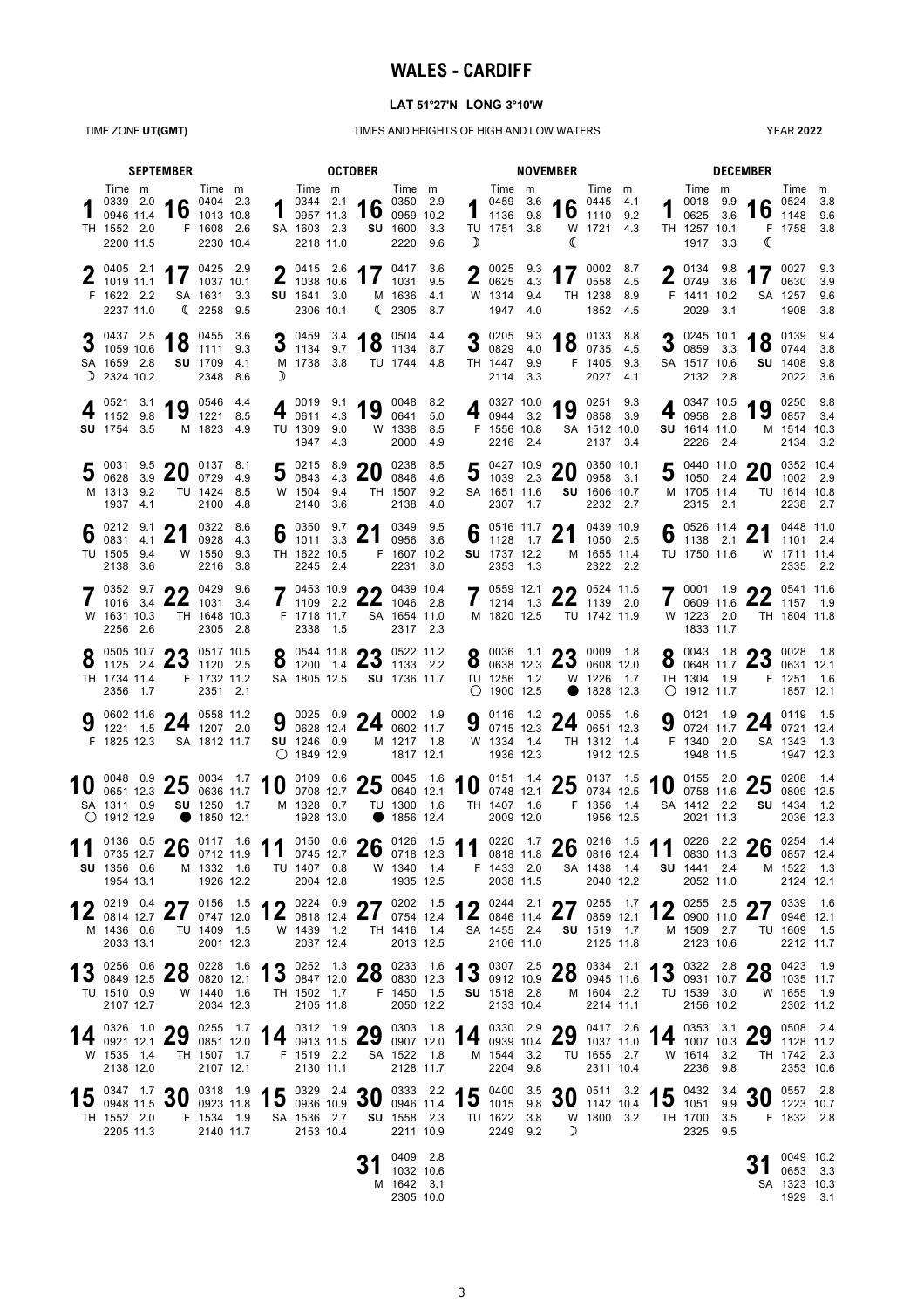## **WALES - CARDIFF**

### **LAT 51°27'N LONG 3°10'W**

TIME ZONE **UT(GMT)** TIMES AND HEIGHTS OF HIGH AND LOW WATERS

YEAR **2022**

| <b>SEPTEMBER</b> |                                                                                                                                                                                                                       |  |                                                |  |                                                                                                                                                                                                                                                               |                                                                         | <b>OCTOBER</b>                                                                                    |                                                  |               |   |                                                 |     | <b>NOVEMBER</b>                                                                                               |                                                  |  |                                                                        | <b>DECEMBER</b>                                                            |                                                   |                          |  |  |  |  |  |
|------------------|-----------------------------------------------------------------------------------------------------------------------------------------------------------------------------------------------------------------------|--|------------------------------------------------|--|---------------------------------------------------------------------------------------------------------------------------------------------------------------------------------------------------------------------------------------------------------------|-------------------------------------------------------------------------|---------------------------------------------------------------------------------------------------|--------------------------------------------------|---------------|---|-------------------------------------------------|-----|---------------------------------------------------------------------------------------------------------------|--------------------------------------------------|--|------------------------------------------------------------------------|----------------------------------------------------------------------------|---------------------------------------------------|--------------------------|--|--|--|--|--|
|                  | Time m<br>$\frac{0339}{0946}$ $\frac{2.0}{1.4}$ 16 $\frac{0404}{1013}$ $\frac{2.3}{10.8}$<br>TH 1552 2.0<br>2200 11.5                                                                                                 |  | Time m<br>F 1608 2.6<br>2230 10.4              |  |                                                                                                                                                                                                                                                               | Time m<br>SA 1603 2.3<br>2218 11.0                                      | 1 $^{0344}$ 2.1 16 $^{0350}$ 2.9 $^{2.9}$ 0957 11.3 16 0959 10.2                                  | SU 1600 3.3<br>2220                              | Time m<br>9.6 | D | Time m<br>TU 1751 3.8                           |     | 1 $^{0459}$ 3.6 16 $^{0445}$ 4.1<br>1136 9.8 16 1110 9.2<br>€                                                 | Time m<br>W 1721 4.3                             |  | Time m<br>TH 1257 10.1<br>1917 3.3                                     | 1 $^{0018}$ 9.9 16 $^{0524}$ 3.8 16 1148 9.6<br>ℂ                          | Time m<br>F 1758 3.8                              |                          |  |  |  |  |  |
|                  | 0405 2.1 $\bullet$ 7 0425 2.9<br>$\overline{2}$ 1019 11.1 $\overline{1}$ 1037 10.1<br>F 1622 2.2<br>2237 11.0                                                                                                         |  | SA 1631 3.3<br>(22589.5                        |  |                                                                                                                                                                                                                                                               | $\bullet$ 0415 2.6<br>$\frac{2}{1038}$ 10.6<br>SU 1641 3.0<br>2306 10.1 | 1111319.5                                                                                         | $47$ 0417 3.6<br>M 1636 4.1<br>(23058.7)         |               |   | $\frac{2}{10625}$ 4.3<br>W 1314 9.4<br>1947 4.0 |     | <b>2</b> 0025 9.3 <b>4 7</b> 0002 8.7<br>$\mathbf{H}$                                                         | 0558 4.5<br>TH 1238 8.9<br>1852 4.5              |  | $\bullet$ 0134 9.8<br>$\frac{2}{10749}$ 3.6<br>F 1411 10.2<br>2029 3.1 | $\bf{1}$                                                                   | $47^{0027}$<br>0630<br>SA 1257<br>1908            | 9.3<br>3.9<br>9.6<br>3.8 |  |  |  |  |  |
|                  | 3 $\frac{0437}{1059}$ $\frac{2.5}{10.6}$ 18 $\frac{0455}{1111}$ $\frac{3.6}{9.3}$<br>$3$ 1059 10.6<br>SA 1659 2.8<br>$D$ 2324 10.2                                                                                    |  | SU 1709 4.1<br>2348 8.6                        |  | D                                                                                                                                                                                                                                                             | M 1738 3.8                                                              | 3 0459 3.4 18 0504 4.4<br>TU 1744 4.8                                                             |                                                  |               |   | TH 1447 9.9<br>2114 3.3                         |     | 3 0205 9.3 18 0133 8.8                                                                                        | F 1405 9.3<br>2027 4.1                           |  | SA 1517 10.6<br>2132 2.8                                               | 3 0245 10.1 18 0139 9.4                                                    | SU 1408 9.8<br>2022                               | 3.6                      |  |  |  |  |  |
|                  | $\frac{0521}{1152}$ 9.8 19<br>SU 1754 3.5                                                                                                                                                                             |  | 0546 4.4<br>1221 8.5<br>M 1823 4.9             |  |                                                                                                                                                                                                                                                               | TU 1309 9.0<br>1947 4.3                                                 | 4 0019 9.1 19 0048 8.2                                                                            | W 1338<br>2000                                   | 8.5<br>- 4.9  |   | F 1556 10.8<br>2216 2.4                         |     | 4 $_{0944}^{0327}$ 10.0 19                                                                                    | 0251 9.3<br>0858 3.9<br>SA 1512 10.0<br>2137 3.4 |  | 0347 10.5<br>$4\frac{6}{0958}$ 2.8<br>SU 1614 11.0<br>2226 2.4         | 19 $^{0250}$ $^{9.8}_{0857}$ 3.4                                           | M 1514 10.3<br>2134 3.2                           |                          |  |  |  |  |  |
|                  | 5 $\frac{0031}{0628}$ 3.9 20 $\frac{0137}{0729}$ 4.9<br>M 1313 9.2<br>1937 4.1                                                                                                                                        |  | TU 1424 8.5<br>2100 4.8                        |  |                                                                                                                                                                                                                                                               | W 1504 9.4<br>2140 3.6                                                  | 5 0215 8.9 20 0238 8.5                                                                            | TH 1507 9.2<br>2138                              | 4.0           |   | SA 1651 11.6<br>2307                            | 1.7 | 5 0427 10.9 20 0350 10.1                                                                                      | SU 1606 10.7<br>2232 2.7                         |  | M 1705 11.4<br>2315 2.1                                                | 5 0440 11.0 20 0352 10.4                                                   | TU 1614 10.8<br>2238 2.7                          |                          |  |  |  |  |  |
|                  | $6^{0212}_{0831}$ $1.2$ 21<br>0831 4.1<br>TU 1505 9.4<br>2138 3.6                                                                                                                                                     |  | 0322 8.6<br>0928 4.3<br>W 1550 9.3<br>2216 3.8 |  |                                                                                                                                                                                                                                                               | TH 1622 10.5<br>2245 2.4                                                | 6 0350 9.7 21 0349 9.5                                                                            | F 1607 10.2<br>2231 3.0                          |               |   | SU 1737 12.2<br>2353 1.3                        |     | $6^{0516}$ 11.7 21                                                                                            | 0439 10.9<br>1050 2.5<br>M 1655 11.4<br>2322 2.2 |  | $0 \t1138 \t2.1$<br>TU 1750 11.6                                       | 6 0526 11.4 21 0448 11.0                                                   | W 1711 11.4<br>2335 2.2                           |                          |  |  |  |  |  |
|                  | 0352 9.7 $\bigcap$ 0429 9.6<br>$1016$ 3.4 $\mathbf{Z}$ $\mathbf{Z}$ 1031 3.4<br>W 1631 10.3<br>2256 2.6                                                                                                               |  | TH 1648 10.3<br>2305 2.8                       |  |                                                                                                                                                                                                                                                               | F 1718 11.7<br>2338 1.5                                                 | 7 0453 10.9 22 0439 10.4                                                                          | SA 1654 11.0<br>2317 2.3                         |               |   | 1214<br>M 1820 12.5                             |     | $\rightarrow$ 0559 12.1 $\rightarrow$ 0524 11.5<br>$1.3$ <b>22</b> $1139$ 2.0                                 | TU 1742 11.9                                     |  | W 1223 2.0<br>1833 11.7                                                | 7 0001 1.9 22 0541 11.6                                                    | TH 1804 11.8                                      |                          |  |  |  |  |  |
|                  | $0.050510.7$ 0.5 0517 10.5<br><b>0</b> 1125 2.4 <b>40</b> 1120 2.5<br>TH 1734 11.4<br>2356 1.7                                                                                                                        |  | F 1732 11.2<br>2351 2.1                        |  |                                                                                                                                                                                                                                                               |                                                                         | $0$ 0544 11.8 $0$ 0522 11.2<br><b>0</b> 1200 1.4 <b>4.3</b> 1133 2.2<br>SA 1805 12.5 SU 1736 11.7 |                                                  |               |   | TU 1256 1.2<br>$\bigcirc$ 1900 12.5             |     | $Q$ 0036 1.1 $Q$ <sup>0</sup> 0009 1.8<br>$\bullet$ 0638 12.3 $\angle$ 3 0608 12.0<br>W 1226 1.7<br>$\bullet$ | 1828 12.3                                        |  | TH 1304 1.9<br>$O$ 1912 11.7                                           | $0$ 0043 1.8 $\bullet$ 0028 1.8<br><b>O</b> 0648 11.7 $\angle 3$ 0631 12.1 | F 1251 1.6<br>1857 12.1                           |                          |  |  |  |  |  |
|                  | 9 $\frac{0602}{1221}$ 1.5 <b>24</b> $\frac{0558}{1207}$ 2.0<br>F 1825 12.3                                                                                                                                            |  | SA 1812 11.7                                   |  |                                                                                                                                                                                                                                                               | SU 1246 0.9<br>$O$ 1849 12.9                                            | 9 $^{0025}$ $^{0.9}$ 24 $^{0002}$ $^{1.9}$ $^{0022}$ $^{1.9}$                                     | M 1217 1.8<br>1817 12.1                          |               |   | W 1334 1.4<br>1936 12.3                         |     | 9 $\frac{0116}{0715}$ 1.2 24 $\frac{0055}{0651}$ 1.6                                                          | TH 1312 1.4<br>1912 12.5                         |  | F 1340 2.0<br>1948 11.5                                                | 9 $^{0121}$ 1.9 24 $^{0119}$ 1.5 0724 11.7 24                              | SA 1343 1.3<br>1947 12.3                          |                          |  |  |  |  |  |
|                  | 10 0048 0.9 25 0034 1.7 10 0109 0.6 25 0045 1.6 10 0151 1.4 25 0137 1.5 10 0155 2.0 25 0208 1.4<br>SA 1311 0.9<br>$O$ 1912 12.9                                                                                       |  | <b>SU</b> 1250 1.7<br>● 1850 12.1              |  |                                                                                                                                                                                                                                                               | 1928 13.0                                                               | M 1328 0.7 TU 1300 1.6                                                                            | ● 1856 12.4                                      |               |   | 2009 12.0                                       |     | TH 1407 1.6 F 1356 1.4                                                                                        | 1956 12.5                                        |  | SA 1412 2.2<br>2021 11.3                                               |                                                                            | SU 1434 1.2<br>2036 12.3                          |                          |  |  |  |  |  |
|                  | $^{0136}$ $^{0.5}$ 26 $^{0117}$ $^{1.6}$ 11 $^{0150}$ $^{0.6}$ 26 $^{0126}$ $^{1.5}$ 11 $^{0220}$ $^{1.7}$ 26 $^{0216}$ $^{1.5}$ 11 $^{0226}$ $^{2.2}$ 220 $^{2.2}$ 26 $^{0254}$ $^{1.4}$<br>SU 1356 0.6<br>1954 13.1 |  | M 1332 1.6<br>1926 12.2                        |  |                                                                                                                                                                                                                                                               | TU 1407 0.8<br>2004 12.8                                                |                                                                                                   | W 1340 1.4<br>1935 12.5                          |               |   | F 1433 2.0<br>2038 11.5                         |     |                                                                                                               | SA 1438 1.4<br>2040 12.2                         |  | SU 1441 2.4<br>2052 11.0                                               |                                                                            | M 1522 1.3<br>2124 12.1                           |                          |  |  |  |  |  |
|                  | 2 0219 0.4 27 0156 1.5 12 0224 0.9 27 0202 1.5 12 0244 2.1 27 0255 1.7 12 0255 2.5 27 0339 1.6<br>12 $\frac{1}{0814}$ 12.7 $\angle I$<br>M 1436 0.6<br>2033 13.1                                                      |  | TU 1409 1.5<br>2001 12.3                       |  |                                                                                                                                                                                                                                                               | W 1439 1.2<br>2037 12.4                                                 |                                                                                                   | TH 1416 1.4<br>2013 12.5                         |               |   | SA 1455 2.4<br>2106 11.0                        |     |                                                                                                               | SU 1519 1.7<br>2125 11.8                         |  | M 1509 2.7<br>2123 10.6                                                |                                                                            | TU 1609 1.5<br>2212 11.7                          |                          |  |  |  |  |  |
|                  | 13 0256 0.6 28 0228 1.6 13 0252 1.3 28 0233 1.6 13 0307 2.5 28 0334 2.1 13 0322 2.8 28 0423 1.9<br>TU 1510 0.9<br>2107 12.7                                                                                           |  | W 1440 1.6<br>2034 12.3                        |  |                                                                                                                                                                                                                                                               | 2105 11.8                                                               | TH 1502 1.7 F 1450 1.5                                                                            | 2050 12.2                                        |               |   | <b>SU</b> 1518 2.8<br>2133 10.4                 |     |                                                                                                               | M 1604 2.2<br>2214 11.1                          |  | TU 1539 3.0<br>2156 10.2                                               |                                                                            | W 1655 1.9<br>2302 11.2                           |                          |  |  |  |  |  |
|                  | 14 $_{0921}^{0326}$ 1.0 29<br>W 1535 1.4<br>2138 12.0                                                                                                                                                                 |  | TH 1507 1.7<br>2107 12.1                       |  | $^{0255}$ 1.7 <b>14</b> $^{0312}$ 1.9 <b>29</b> $^{0303}$ 1.8 <b>14</b> $^{0330}$ <sup>2.9</sup> <b>29</b> $^{0417}$ <sup>2.6</sup> <b>14</b> $^{0353}$ <sup>3.1</sup> <b>29</b> $^{0508}$ <sup>2.4</sup> $^{0353}$ 11.2 <b>11.2</b> $^{0508}$ <sup>2.4</sup> | 2130 11.1                                                               | F 1519 2.2 SA 1522 1.8                                                                            | 2128 11.7                                        |               |   | M 1544 3.2<br>2204 9.8                          |     |                                                                                                               | TU 1655 2.7<br>2311 10.4                         |  | W 1614 3.2<br>2236 9.8                                                 |                                                                            | TH 1742 2.3<br>2353 10.6                          |                          |  |  |  |  |  |
|                  | 15 0347 1.7 30 0318 1.9 15 0329 2.4 30 0333 2.2 15 0400 3.5 30 0511 3.2 15 0432 3.4 30 0557 2.8<br>TH 1552 2.0<br>2205 11.3                                                                                           |  | 2140 11.7                                      |  | F 1534 1.9 SA 1536 2.7 SU 1558 2.3                                                                                                                                                                                                                            | 2153 10.4                                                               |                                                                                                   | 2211 10.9                                        |               |   | 2249 9.2                                        |     | TU 1622 3.8 W 1800 3.2<br>$\mathcal{D}$                                                                       |                                                  |  | 2325 9.5                                                               | TH 1700 3.5 F 1832 2.8                                                     |                                                   |                          |  |  |  |  |  |
|                  |                                                                                                                                                                                                                       |  |                                                |  |                                                                                                                                                                                                                                                               |                                                                         |                                                                                                   | 0409 2.8<br>1032 10.6<br>M 1642 3.1<br>2305 10.0 |               |   |                                                 |     |                                                                                                               |                                                  |  |                                                                        | J I                                                                        | 0049 10.2<br>0653 3.3<br>SA 1323 10.3<br>1929 3.1 |                          |  |  |  |  |  |